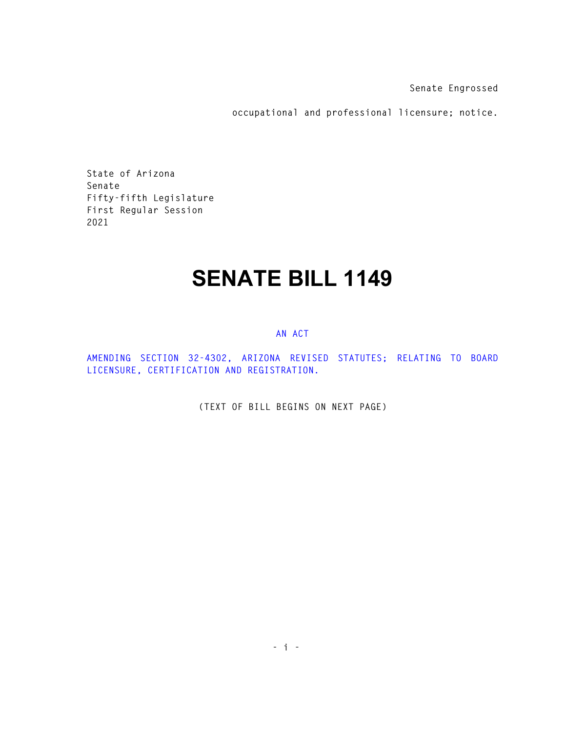**Senate Engrossed** 

**occupational and professional licensure; notice.** 

**State of Arizona Senate Fifty-fifth Legislature First Regular Session 2021** 

## **SENATE BILL 1149**

## **AN ACT**

**AMENDING SECTION 32-4302, ARIZONA REVISED STATUTES; RELATING TO BOARD LICENSURE, CERTIFICATION AND REGISTRATION.** 

**(TEXT OF BILL BEGINS ON NEXT PAGE)**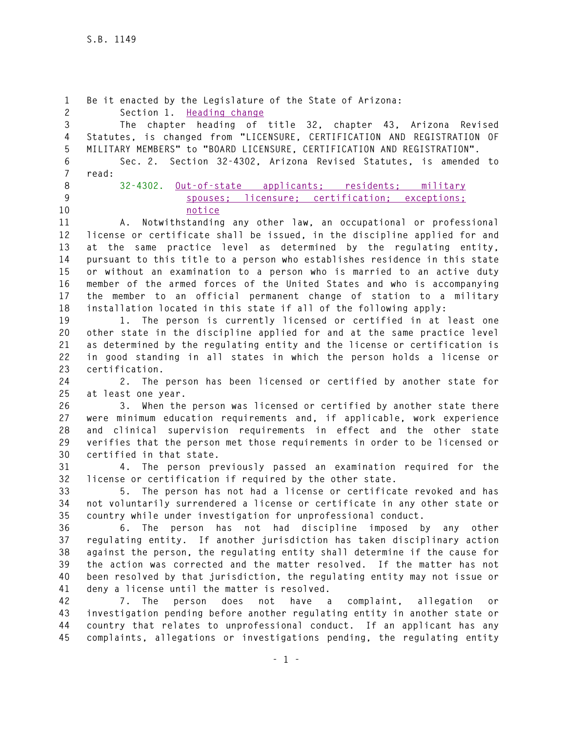**1 Be it enacted by the Legislature of the State of Arizona: 2 Section 1. Heading change 3 The chapter heading of title 32, chapter 43, Arizona Revised 4 Statutes, is changed from "LICENSURE, CERTIFICATION AND REGISTRATION OF 5 MILITARY MEMBERS" to "BOARD LICENSURE, CERTIFICATION AND REGISTRATION". 6 Sec. 2. Section 32-4302, Arizona Revised Statutes, is amended to 7 read: 8 32-4302. Out-of-state applicants; residents; military 9 spouses; licensure; certification; exceptions; 10 notice 11 A. Notwithstanding any other law, an occupational or professional 12 license or certificate shall be issued, in the discipline applied for and 13 at the same practice level as determined by the regulating entity, 14 pursuant to this title to a person who establishes residence in this state 15 or without an examination to a person who is married to an active duty 16 member of the armed forces of the United States and who is accompanying 17 the member to an official permanent change of station to a military 18 installation located in this state if all of the following apply: 19 1. The person is currently licensed or certified in at least one 20 other state in the discipline applied for and at the same practice level 21 as determined by the regulating entity and the license or certification is 22 in good standing in all states in which the person holds a license or 23 certification. 24 2. The person has been licensed or certified by another state for 25 at least one year. 26 3. When the person was licensed or certified by another state there 27 were minimum education requirements and, if applicable, work experience 28 and clinical supervision requirements in effect and the other state 29 verifies that the person met those requirements in order to be licensed or 30 certified in that state. 31 4. The person previously passed an examination required for the 32 license or certification if required by the other state. 33 5. The person has not had a license or certificate revoked and has 34 not voluntarily surrendered a license or certificate in any other state or 35 country while under investigation for unprofessional conduct. 36 6. The person has not had discipline imposed by any other 37 regulating entity. If another jurisdiction has taken disciplinary action 38 against the person, the regulating entity shall determine if the cause for 39 the action was corrected and the matter resolved. If the matter has not 40 been resolved by that jurisdiction, the regulating entity may not issue or 41 deny a license until the matter is resolved. 42 7. The person does not have a complaint, allegation or 43 investigation pending before another regulating entity in another state or 44 country that relates to unprofessional conduct. If an applicant has any 45 complaints, allegations or investigations pending, the regulating entity**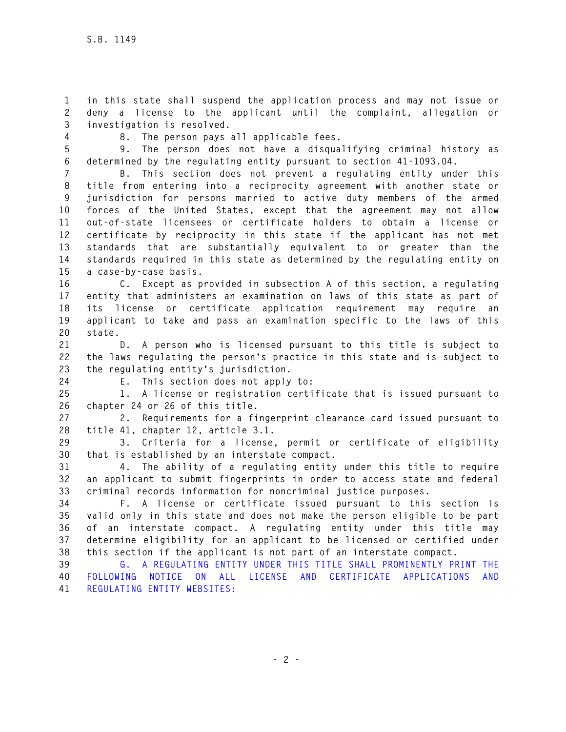**1 in this state shall suspend the application process and may not issue or 2 deny a license to the applicant until the complaint, allegation or 3 investigation is resolved.** 

**4 8. The person pays all applicable fees.** 

**5 9. The person does not have a disqualifying criminal history as 6 determined by the regulating entity pursuant to section 41-1093.04.** 

**7 B. This section does not prevent a regulating entity under this 8 title from entering into a reciprocity agreement with another state or 9 jurisdiction for persons married to active duty members of the armed 10 forces of the United States, except that the agreement may not allow 11 out-of-state licensees or certificate holders to obtain a license or 12 certificate by reciprocity in this state if the applicant has not met 13 standards that are substantially equivalent to or greater than the 14 standards required in this state as determined by the regulating entity on 15 a case-by-case basis.** 

**16 C. Except as provided in subsection A of this section, a regulating 17 entity that administers an examination on laws of this state as part of 18 its license or certificate application requirement may require an 19 applicant to take and pass an examination specific to the laws of this 20 state.** 

**21 D. A person who is licensed pursuant to this title is subject to 22 the laws regulating the person's practice in this state and is subject to 23 the regulating entity's jurisdiction.** 

**24 E. This section does not apply to:** 

**25 1. A license or registration certificate that is issued pursuant to 26 chapter 24 or 26 of this title.** 

**27 2. Requirements for a fingerprint clearance card issued pursuant to 28 title 41, chapter 12, article 3.1.** 

**29 3. Criteria for a license, permit or certificate of eligibility 30 that is established by an interstate compact.** 

**31 4. The ability of a regulating entity under this title to require 32 an applicant to submit fingerprints in order to access state and federal 33 criminal records information for noncriminal justice purposes.** 

**34 F. A license or certificate issued pursuant to this section is 35 valid only in this state and does not make the person eligible to be part 36 of an interstate compact. A regulating entity under this title may 37 determine eligibility for an applicant to be licensed or certified under 38 this section if the applicant is not part of an interstate compact.** 

**39 G. A REGULATING ENTITY UNDER THIS TITLE SHALL PROMINENTLY PRINT THE 40 FOLLOWING NOTICE ON ALL LICENSE AND CERTIFICATE APPLICATIONS AND 41 REGULATING ENTITY WEBSITES:**